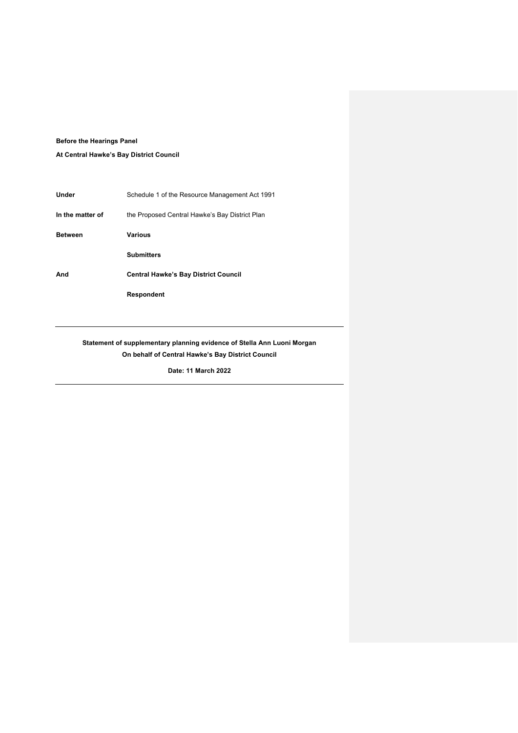## **Before the Hearings Panel**

**At Central Hawke's Bay District Council** 

| Under            | Schedule 1 of the Resource Management Act 1991 |
|------------------|------------------------------------------------|
| In the matter of | the Proposed Central Hawke's Bay District Plan |
| <b>Between</b>   | Various                                        |
|                  | <b>Submitters</b>                              |
|                  |                                                |
| And              | <b>Central Hawke's Bay District Council</b>    |

# **Statement of supplementary planning evidence of Stella Ann Luoni Morgan On behalf of Central Hawke's Bay District Council**

**Date: 11 March 2022**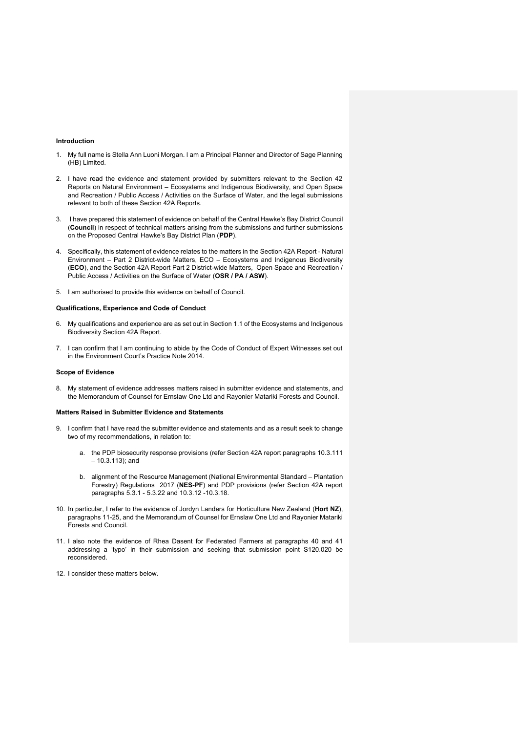### **Introduction**

- 1. My full name is Stella Ann Luoni Morgan. I am a Principal Planner and Director of Sage Planning (HB) Limited.
- 2. I have read the evidence and statement provided by submitters relevant to the Section 42 Reports on Natural Environment – Ecosystems and Indigenous Biodiversity, and Open Space and Recreation / Public Access / Activities on the Surface of Water, and the legal submissions relevant to both of these Section 42A Reports.
- 3. I have prepared this statement of evidence on behalf of the Central Hawke's Bay District Council (**Council**) in respect of technical matters arising from the submissions and further submissions on the Proposed Central Hawke's Bay District Plan (**PDP**).
- 4. Specifically, this statement of evidence relates to the matters in the Section 42A Report Natural Environment – Part 2 District-wide Matters, ECO – Ecosystems and Indigenous Biodiversity (**ECO**), and the Section 42A Report Part 2 District-wide Matters, Open Space and Recreation / Public Access / Activities on the Surface of Water (**OSR / PA / ASW**).
- 5. I am authorised to provide this evidence on behalf of Council.

## **Qualifications, Experience and Code of Conduct**

- 6. My qualifications and experience are as set out in Section 1.1 of the Ecosystems and Indigenous Biodiversity Section 42A Report.
- 7. I can confirm that I am continuing to abide by the Code of Conduct of Expert Witnesses set out in the Environment Court's Practice Note 2014.

#### **Scope of Evidence**

8. My statement of evidence addresses matters raised in submitter evidence and statements, and the Memorandum of Counsel for Ernslaw One Ltd and Rayonier Matariki Forests and Council.

#### **Matters Raised in Submitter Evidence and Statements**

- 9. I confirm that I have read the submitter evidence and statements and as a result seek to change two of my recommendations, in relation to:
	- a. the PDP biosecurity response provisions (refer Section 42A report paragraphs 10.3.111 – 10.3.113); and
	- b. alignment of the Resource Management (National Environmental Standard Plantation Forestry) Regulations 2017 (**NES-PF**) and PDP provisions (refer Section 42A report paragraphs 5.3.1 - 5.3.22 and 10.3.12 -10.3.18.
- 10. In particular, I refer to the evidence of Jordyn Landers for Horticulture New Zealand (**Hort NZ**), paragraphs 11-25, and the Memorandum of Counsel for Ernslaw One Ltd and Rayonier Matariki Forests and Council.
- 11. I also note the evidence of Rhea Dasent for Federated Farmers at paragraphs 40 and 41 addressing a 'typo' in their submission and seeking that submission point S120.020 be reconsidered.
- 12. I consider these matters below.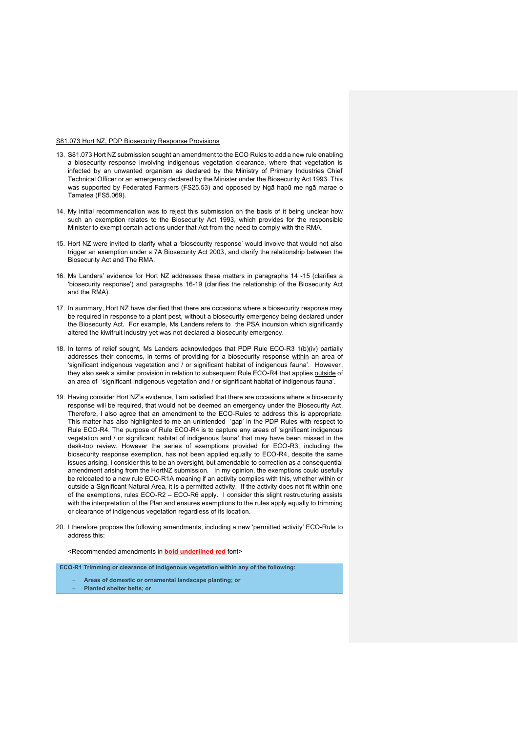#### S81.073 Hort NZ, PDP Biosecurity Response Provisions

- 13. S81.073 Hort NZ submission sought an amendment to the ECO Rules to add a new rule enabling a biosecurity response involving indigenous vegetation clearance, where that vegetation is infected by an unwanted organism as declared by the Ministry of Primary Industries Chief Technical Officer or an emergency declared by the Minister under the Biosecurity Act 1993. This was supported by Federated Farmers (FS25.53) and opposed by Ngā hapū me ngā marae o Tamatea (FS5.069).
- 14. My initial recommendation was to reject this submission on the basis of it being unclear how such an exemption relates to the Biosecurity Act 1993, which provides for the responsible Minister to exempt certain actions under that Act from the need to comply with the RMA.
- 15. Hort NZ were invited to clarify what a 'biosecurity response' would involve that would not also trigger an exemption under s 7A Biosecurity Act 2003, and clarify the relationship between the Biosecurity Act and The RMA.
- 16. Ms Landers' evidence for Hort NZ addresses these matters in paragraphs 14 -15 (clarifies a 'biosecurity response') and paragraphs 16-19 (clarifies the relationship of the Biosecurity Act and the RMA).
- 17. In summary, Hort NZ have clarified that there are occasions where a biosecurity response may be required in response to a plant pest, without a biosecurity emergency being declared under the Biosecurity Act. For example, Ms Landers refers to the PSA incursion which significantly altered the kiwifruit industry yet was not declared a biosecurity emergency.
- 18. In terms of relief sought, Ms Landers acknowledges that PDP Rule ECO-R3 1(b)(iv) partially addresses their concerns, in terms of providing for a biosecurity response within an area of 'significant indigenous vegetation and / or significant habitat of indigenous fauna'. However, they also seek a similar provision in relation to subsequent Rule ECO-R4 that applies outside of an area of 'significant indigenous vegetation and / or significant habitat of indigenous fauna'.
- 19. Having consider Hort NZ's evidence, I am satisfied that there are occasions where a biosecurity response will be required, that would not be deemed an emergency under the Biosecurity Act. Therefore, I also agree that an amendment to the ECO-Rules to address this is appropriate. This matter has also highlighted to me an unintended 'gap' in the PDP Rules with respect to Rule ECO-R4. The purpose of Rule ECO-R4 is to capture any areas of 'significant indigenous vegetation and / or significant habitat of indigenous fauna' that may have been missed in the desk-top review. However the series of exemptions provided for ECO-R3, including the biosecurity response exemption, has not been applied equally to ECO-R4, despite the same issues arising. I consider this to be an oversight, but amendable to correction as a consequential amendment arising from the HortNZ submission. In my opinion, the exemptions could usefully be relocated to a new rule ECO-R1A meaning if an activity complies with this, whether within or outside a Significant Natural Area, it is a permitted activity. If the activity does not fit within one of the exemptions, rules ECO-R2 – ECO-R6 apply. I consider this slight restructuring assists with the interpretation of the Plan and ensures exemptions to the rules apply equally to trimming or clearance of indigenous vegetation regardless of its location.
- 20. I therefore propose the following amendments, including a new 'permitted activity' ECO-Rule to address this:

<Recommended amendments in **bold underlined red** font>

**ECO-R1 Trimming or clearance of indigenous vegetation within any of the following:**

- − **Areas of domestic or ornamental landscape planting; or**
- − **Planted shelter belts; or**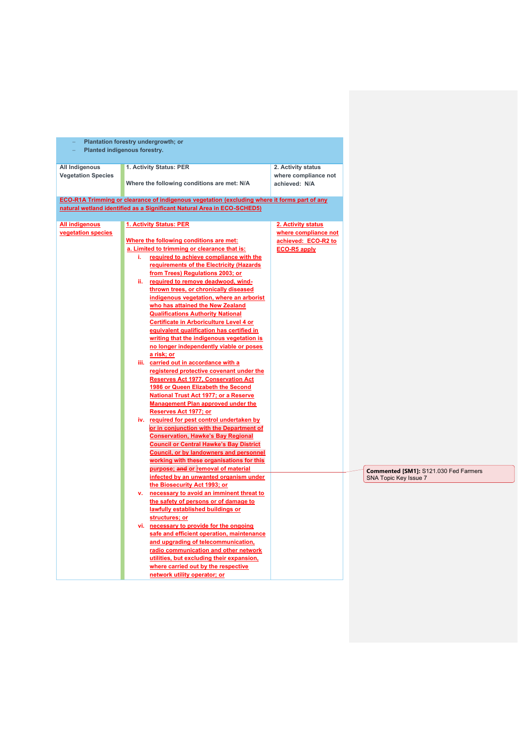| Plantation forestry undergrowth; or<br>Planted indigenous forestry. |    |                                                                                                                                                                                                                                                                                                                                                                                                                                                                                                                                                                                                                                                                                                                                                                                                                                                                                                                                                                  |                                                                                          |
|---------------------------------------------------------------------|----|------------------------------------------------------------------------------------------------------------------------------------------------------------------------------------------------------------------------------------------------------------------------------------------------------------------------------------------------------------------------------------------------------------------------------------------------------------------------------------------------------------------------------------------------------------------------------------------------------------------------------------------------------------------------------------------------------------------------------------------------------------------------------------------------------------------------------------------------------------------------------------------------------------------------------------------------------------------|------------------------------------------------------------------------------------------|
| All Indigenous<br><b>Vegetation Species</b>                         |    | 1. Activity Status: PER<br>Where the following conditions are met: N/A                                                                                                                                                                                                                                                                                                                                                                                                                                                                                                                                                                                                                                                                                                                                                                                                                                                                                           | 2. Activity status<br>where compliance not<br>achieved: N/A                              |
|                                                                     |    | ECO-R1A Trimming or clearance of indigenous vegetation (excluding where it forms part of any<br>natural wetland identified as a Significant Natural Area in ECO-SCHED5)                                                                                                                                                                                                                                                                                                                                                                                                                                                                                                                                                                                                                                                                                                                                                                                          |                                                                                          |
| <b>All indigenous</b><br>vegetation species                         | i. | <b>1. Activity Status: PER</b><br>Where the following conditions are met:<br>a. Limited to trimming or clearance that is:<br>required to achieve compliance with the<br>requirements of the Electricity (Hazards<br>from Trees) Regulations 2003; or<br>ii. required to remove deadwood, wind-<br>thrown trees, or chronically diseased<br>indigenous vegetation, where an arborist<br>who has attained the New Zealand<br><b>Qualifications Authority National</b><br>Certificate in Arboriculture Level 4 or<br>equivalent qualification has certified in<br>writing that the indigenous vegetation is<br>no longer independently viable or poses<br>a risk; or<br>iii. carried out in accordance with a<br>registered protective covenant under the<br><b>Reserves Act 1977, Conservation Act</b><br>1986 or Queen Elizabeth the Second<br><b>National Trust Act 1977; or a Reserve</b><br><b>Management Plan approved under the</b><br>Reserves Act 1977; or | 2. Activity status<br>where compliance not<br>achieved: ECO-R2 to<br><b>ECO-R5 apply</b> |
|                                                                     |    | iv. required for pest control undertaken by<br>or in conjunction with the Department of<br><b>Conservation, Hawke's Bay Regional</b><br><b>Council or Central Hawke's Bay District</b><br><b>Council, or by landowners and personnel</b><br>working with these organisations for this<br>purpose; and or removal of material<br>infected by an unwanted organism under<br>the Biosecurity Act 1993; or<br>v. necessary to avoid an imminent threat to<br>the safety of persons or of damage to<br>lawfully established buildings or<br>structures; or                                                                                                                                                                                                                                                                                                                                                                                                            |                                                                                          |
|                                                                     |    | vi. necessary to provide for the ongoing<br>safe and efficient operation, maintenance<br>and upgrading of telecommunication,<br>radio communication and other network<br>utilities, but excluding their expansion,<br>where carried out by the respective<br>network utility operator; or                                                                                                                                                                                                                                                                                                                                                                                                                                                                                                                                                                                                                                                                        |                                                                                          |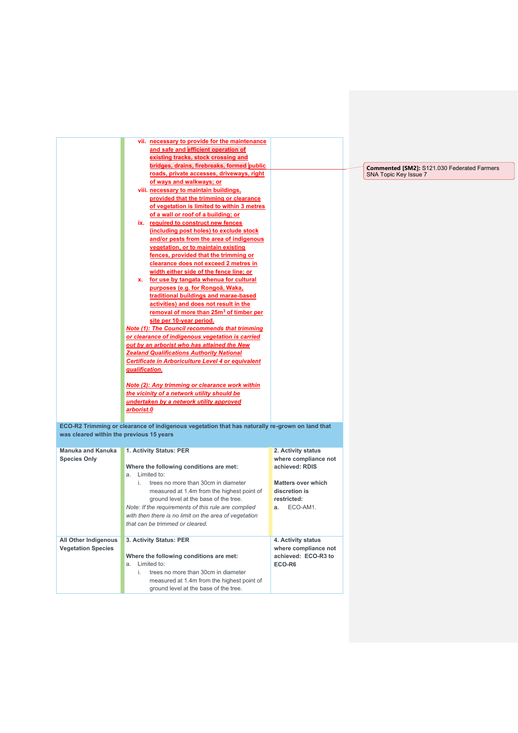|                                                   | vii. necessary to provide for the maintenance<br>and safe and efficient operation of<br>existing tracks, stock crossing and<br>bridges, drains, firebreaks, formed public<br>roads, private accesses, driveways, right<br>of ways and walkways; or<br>viii. necessary to maintain buildings,<br>provided that the trimming or clearance<br>of vegetation is limited to within 3 metres<br>of a wall or roof of a building; or                              |                                                                                                                                             | <b>Commented [SM2]: S121.030 Federated Farmers</b><br>SNA Topic Key Issue 7 |
|---------------------------------------------------|------------------------------------------------------------------------------------------------------------------------------------------------------------------------------------------------------------------------------------------------------------------------------------------------------------------------------------------------------------------------------------------------------------------------------------------------------------|---------------------------------------------------------------------------------------------------------------------------------------------|-----------------------------------------------------------------------------|
|                                                   | ix. required to construct new fences<br>(including post holes) to exclude stock<br>and/or pests from the area of indigenous<br>vegetation, or to maintain existing<br>fences, provided that the trimming or<br>clearance does not exceed 2 metres in<br>width either side of the fence line; or<br>x. for use by tangata whenua for cultural<br>purposes (e.g. for Rongoā, Waka,                                                                           |                                                                                                                                             |                                                                             |
|                                                   | traditional buildings and marae-based<br>activities) and does not result in the<br>removal of more than 25m <sup>3</sup> of timber per<br>site per 10-year period.<br>Note (1): The Council recommends that trimming<br>or clearance of indigenous vegetation is carried<br>out by an arborist who has attained the New<br><b>Zealand Qualifications Authority National</b><br>Certificate in Arboriculture Level 4 or equivalent<br><u>qualification.</u> |                                                                                                                                             |                                                                             |
|                                                   | Note (2): Any trimming or clearance work within<br>the vicinity of a network utility should be<br>undertaken by a network utility approved<br>arborist.0                                                                                                                                                                                                                                                                                                   |                                                                                                                                             |                                                                             |
| was cleared within the previous 15 years          | ECO-R2 Trimming or clearance of indigenous vegetation that has naturally re-grown on land that                                                                                                                                                                                                                                                                                                                                                             |                                                                                                                                             |                                                                             |
| <b>Manuka and Kanuka</b><br><b>Species Only</b>   | 1. Activity Status: PER<br>Where the following conditions are met:<br>a. Limited to:<br>i. trees no more than 30cm in diameter<br>measured at 1.4m from the highest point of<br>ground level at the base of the tree.<br>Note: If the requirements of this rule are complied<br>with then there is no limit on the area of vegetation<br>that can be trimmed or cleared.                                                                                   | 2. Activity status<br>where compliance not<br>achieved: RDIS<br><b>Matters over which</b><br>discretion is<br>restricted:<br>ECO-AM1.<br>a. |                                                                             |
| All Other Indigenous<br><b>Vegetation Species</b> | 3. Activity Status: PER<br>Where the following conditions are met:<br>a. Limited to:<br>i.<br>trees no more than 30cm in diameter<br>measured at 1.4m from the highest point of<br>ground level at the base of the tree.                                                                                                                                                                                                                                   | 4. Activity status<br>where compliance not<br>achieved: ECO-R3 to<br>ECO-R6                                                                 |                                                                             |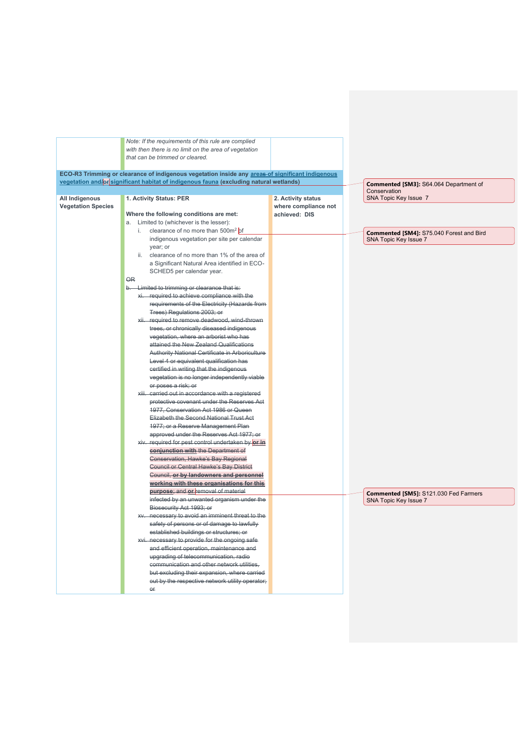|                                             | Note: If the requirements of this rule are complied                                              |                                            |                                          |
|---------------------------------------------|--------------------------------------------------------------------------------------------------|--------------------------------------------|------------------------------------------|
|                                             | with then there is no limit on the area of vegetation<br>that can be trimmed or cleared.         |                                            |                                          |
|                                             | ECO-R3 Trimming or clearance of indigenous vegetation inside any areas-of significant indigenous |                                            |                                          |
|                                             | vegetation and/or significant habitat of indigenous fauna (excluding natural wetlands)           |                                            | Commented [SM3]: S64.064 Department of   |
|                                             |                                                                                                  |                                            | Conservation                             |
| All Indigenous<br><b>Vegetation Species</b> | 1. Activity Status: PER                                                                          | 2. Activity status<br>where compliance not | SNA Topic Key Issue 7                    |
|                                             | Where the following conditions are met:                                                          | achieved: DIS                              |                                          |
|                                             | a. Limited to (whichever is the lesser):                                                         |                                            |                                          |
|                                             | clearance of no more than 500m <sup>2</sup> of<br>i.                                             |                                            | Commented [SM4]: S75.040 Forest and Bird |
|                                             | indigenous vegetation per site per calendar                                                      |                                            | SNA Topic Key Issue 7                    |
|                                             | year; or                                                                                         |                                            |                                          |
|                                             | ii. clearance of no more than 1% of the area of                                                  |                                            |                                          |
|                                             | a Significant Natural Area identified in ECO-                                                    |                                            |                                          |
|                                             | SCHED5 per calendar year.                                                                        |                                            |                                          |
|                                             | <b>OR</b>                                                                                        |                                            |                                          |
|                                             | b. Limited to trimming or clearance that is:                                                     |                                            |                                          |
|                                             | xi. required to achieve compliance with the                                                      |                                            |                                          |
|                                             | requirements of the Electricity (Hazards from                                                    |                                            |                                          |
|                                             | Trees) Regulations 2003; or                                                                      |                                            |                                          |
|                                             | xii. required to remove deadwood, wind-thrown                                                    |                                            |                                          |
|                                             | trees, or chronically diseased indigenous                                                        |                                            |                                          |
|                                             | vegetation, where an arborist who has                                                            |                                            |                                          |
|                                             | attained the New Zealand Qualifications                                                          |                                            |                                          |
|                                             | Authority National Certificate in Arboriculture                                                  |                                            |                                          |
|                                             | Level 4 or equivalent qualification has<br>certified in writing that the indigenous              |                                            |                                          |
|                                             | vegetation is no longer independently viable                                                     |                                            |                                          |
|                                             | or poses a risk; or                                                                              |                                            |                                          |
|                                             | xiii. carried out in accordance with a registered                                                |                                            |                                          |
|                                             | protective covenant under the Reserves Act                                                       |                                            |                                          |
|                                             | 1977, Conservation Act 1986 or Queen                                                             |                                            |                                          |
|                                             | Elizabeth the Second National Trust Act                                                          |                                            |                                          |
|                                             | 1977; or a Reserve Management Plan                                                               |                                            |                                          |
|                                             | approved under the Reserves Act 1977; or                                                         |                                            |                                          |
|                                             | xiv. required for pest control undertaken by or in                                               |                                            |                                          |
|                                             | conjunction with the Department of                                                               |                                            |                                          |
|                                             | Conservation, Hawke's Bay Regional                                                               |                                            |                                          |
|                                             | <b>Council or Central Hawke's Bay District</b>                                                   |                                            |                                          |
|                                             | Council, or by landowners and personnel                                                          |                                            |                                          |
|                                             | working with these organisations for this                                                        |                                            |                                          |
|                                             | purpose; and or removal of material                                                              |                                            | Commented [SM5]: S121.030 Fed Farmers    |
|                                             | infected by an unwanted organism under the                                                       |                                            | SNA Topic Key Issue 7                    |
|                                             | Biosecurity Act 1993; or                                                                         |                                            |                                          |
|                                             | xv. necessary to avoid an imminent threat to the                                                 |                                            |                                          |
|                                             | safety of persons or of damage to lawfully                                                       |                                            |                                          |
|                                             | established buildings or structures; or                                                          |                                            |                                          |
|                                             | xvi. necessary to provide for the ongoing safe-                                                  |                                            |                                          |
|                                             | and efficient operation, maintenance and                                                         |                                            |                                          |
|                                             | upgrading of telecommunication, radio                                                            |                                            |                                          |
|                                             | communication and other network utilities,                                                       |                                            |                                          |
|                                             | but excluding their expansion, where carried                                                     |                                            |                                          |
|                                             | out by the respective network utility operator;                                                  |                                            |                                          |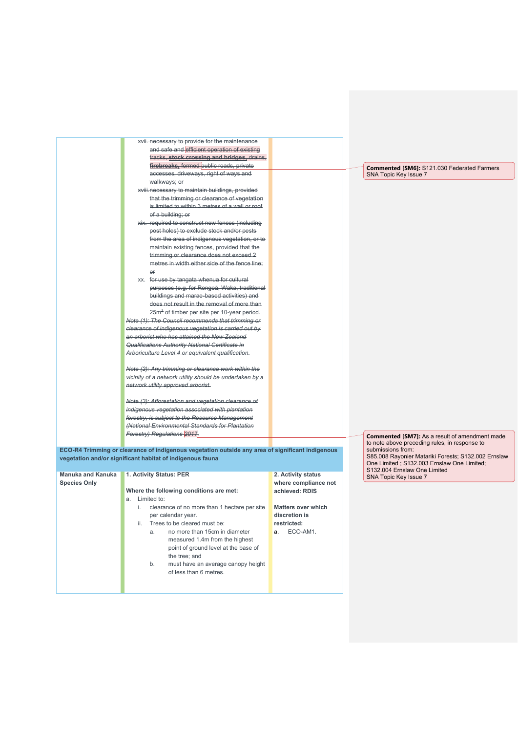|                          | xvii. necessary to provide for the maintenance<br>and safe and efficient operation of existing                                                                |                           |                                                                                                                        |
|--------------------------|---------------------------------------------------------------------------------------------------------------------------------------------------------------|---------------------------|------------------------------------------------------------------------------------------------------------------------|
|                          | tracks, stock crossing and bridges, drains,                                                                                                                   |                           |                                                                                                                        |
|                          | firebreaks, formed public roads, private                                                                                                                      |                           |                                                                                                                        |
|                          | accesses, driveways, right of ways and                                                                                                                        |                           | <b>Commented [SM6]: S121.030 Federated Farmers</b><br>SNA Topic Key Issue 7                                            |
|                          | walkways; or                                                                                                                                                  |                           |                                                                                                                        |
|                          | xviii.necessary to maintain buildings, provided                                                                                                               |                           |                                                                                                                        |
|                          | that the trimming or clearance of vegetation                                                                                                                  |                           |                                                                                                                        |
|                          | is limited to within 3 metres of a wall or roof                                                                                                               |                           |                                                                                                                        |
|                          | of a building; or                                                                                                                                             |                           |                                                                                                                        |
|                          | xix. required to construct new fences (including                                                                                                              |                           |                                                                                                                        |
|                          | post holes) to exclude stock and/or pests                                                                                                                     |                           |                                                                                                                        |
|                          | from the area of indigenous vegetation, or to                                                                                                                 |                           |                                                                                                                        |
|                          | maintain existing fences, provided that the                                                                                                                   |                           |                                                                                                                        |
|                          | trimming or clearance does not exceed 2                                                                                                                       |                           |                                                                                                                        |
|                          | metres in width either side of the fence line;                                                                                                                |                           |                                                                                                                        |
|                          | $\Theta$ F                                                                                                                                                    |                           |                                                                                                                        |
|                          | xx. for use by tangata whenua for cultural                                                                                                                    |                           |                                                                                                                        |
|                          | purposes (e.g. for Rongoā, Waka, traditional                                                                                                                  |                           |                                                                                                                        |
|                          | buildings and marae-based activities) and                                                                                                                     |                           |                                                                                                                        |
|                          | does not result in the removal of more than                                                                                                                   |                           |                                                                                                                        |
|                          | 25m <sup>3</sup> of timber per site per 10-year period.                                                                                                       |                           |                                                                                                                        |
|                          | Note (1): The Council recommends that trimming or                                                                                                             |                           |                                                                                                                        |
|                          | clearance of indigenous vegetation is carried out by                                                                                                          |                           |                                                                                                                        |
|                          | an arborist who has attained the New Zealand                                                                                                                  |                           |                                                                                                                        |
|                          | Qualifications Authority National Certificate in                                                                                                              |                           |                                                                                                                        |
|                          | Arboriculture Level 4 or equivalent qualification.                                                                                                            |                           |                                                                                                                        |
|                          | Note (2): Any trimming or clearance work within the                                                                                                           |                           |                                                                                                                        |
|                          | vicinity of a network utility should be undertaken by a                                                                                                       |                           |                                                                                                                        |
|                          | network utility approved arborist.                                                                                                                            |                           |                                                                                                                        |
|                          | Note (3): Afforestation and vegetation clearance of                                                                                                           |                           |                                                                                                                        |
|                          | indigenous vegetation associated with plantation                                                                                                              |                           |                                                                                                                        |
|                          | forestry, is subject to the Resource Management                                                                                                               |                           |                                                                                                                        |
|                          | (National Environmental Standards for Plantation                                                                                                              |                           |                                                                                                                        |
|                          | Forestry) Regulations 2017                                                                                                                                    |                           | <b>Commented [SM7]:</b> As a result of amendment made                                                                  |
|                          |                                                                                                                                                               |                           | to note above preceding rules, in response to                                                                          |
|                          | ECO-R4 Trimming or clearance of indigenous vegetation outside any area of significant indigenous<br>vegetation and/or significant habitat of indigenous fauna |                           | submissions from:<br>S85.008 Rayonier Matariki Forests; S132.002 Ernslaw<br>One Limited; S132.003 Ernslaw One Limited; |
| <b>Manuka and Kanuka</b> | 1. Activity Status: PER                                                                                                                                       | 2. Activity status        | S132.004 Ernslaw One Limited                                                                                           |
| <b>Species Only</b>      |                                                                                                                                                               | where compliance not      | SNA Topic Key Issue 7                                                                                                  |
|                          | Where the following conditions are met:                                                                                                                       | achieved: RDIS            |                                                                                                                        |
|                          | a. Limited to:                                                                                                                                                |                           |                                                                                                                        |
|                          | clearance of no more than 1 hectare per site<br>i.                                                                                                            | <b>Matters over which</b> |                                                                                                                        |
|                          | per calendar year.                                                                                                                                            | discretion is             |                                                                                                                        |
|                          | Trees to be cleared must be:<br>Ш.                                                                                                                            | restricted:               |                                                                                                                        |
|                          | no more than 15cm in diameter<br>a.                                                                                                                           | ECO-AM1.<br>a.            |                                                                                                                        |
|                          | measured 1.4m from the highest                                                                                                                                |                           |                                                                                                                        |
|                          | point of ground level at the base of                                                                                                                          |                           |                                                                                                                        |
|                          | the tree; and                                                                                                                                                 |                           |                                                                                                                        |
|                          | must have an average canopy height<br>b.                                                                                                                      |                           |                                                                                                                        |
|                          | of less than 6 metres.                                                                                                                                        |                           |                                                                                                                        |
|                          |                                                                                                                                                               |                           |                                                                                                                        |
|                          |                                                                                                                                                               |                           |                                                                                                                        |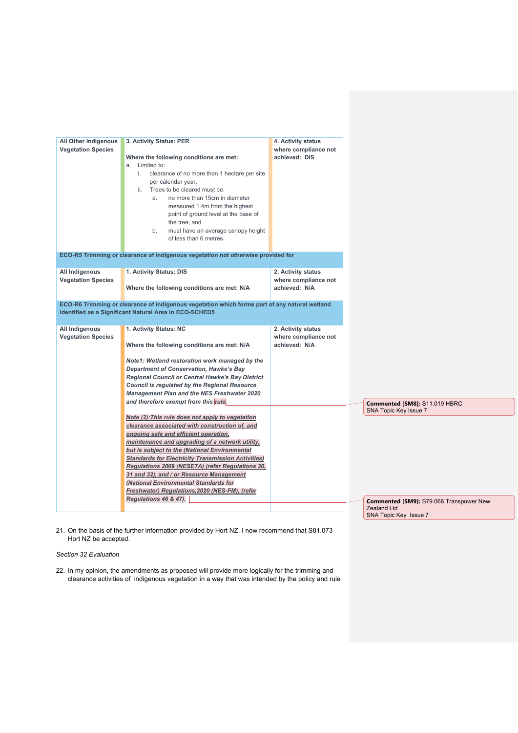| All Other Indigenous<br><b>Vegetation Species</b> | 3. Activity Status: PER<br>Where the following conditions are met:<br>a. Limited to:<br>i. clearance of no more than 1 hectare per site<br>per calendar year.<br>ii. Trees to be cleared must be:<br>no more than 15cm in diameter<br>a.<br>measured 1.4m from the highest<br>point of ground level at the base of<br>the tree; and<br>b.<br>must have an average canopy height<br>of less than 6 metres.                                                                                                                                       | 4. Activity status<br>where compliance not<br>achieved: DIS |                                                                                        |
|---------------------------------------------------|-------------------------------------------------------------------------------------------------------------------------------------------------------------------------------------------------------------------------------------------------------------------------------------------------------------------------------------------------------------------------------------------------------------------------------------------------------------------------------------------------------------------------------------------------|-------------------------------------------------------------|----------------------------------------------------------------------------------------|
|                                                   | ECO-R5 Trimming or clearance of indigenous vegetation not otherwise provided for                                                                                                                                                                                                                                                                                                                                                                                                                                                                |                                                             |                                                                                        |
| All Indigenous<br><b>Vegetation Species</b>       | 1. Activity Status: DIS<br>Where the following conditions are met: N/A                                                                                                                                                                                                                                                                                                                                                                                                                                                                          | 2. Activity status<br>where compliance not<br>achieved: N/A |                                                                                        |
|                                                   | ECO-R6 Trimming or clearance of indigenous vegetation which forms part of any natural wetland<br>identified as a Significant Natural Area in ECO-SCHED5                                                                                                                                                                                                                                                                                                                                                                                         |                                                             |                                                                                        |
| All Indigenous<br><b>Vegetation Species</b>       | 1. Activity Status: NC<br>Where the following conditions are met: N/A<br>Note1: Wetland restoration work managed by the<br><b>Department of Conservation, Hawke's Bay</b><br><b>Regional Council or Central Hawke's Bay District</b><br><b>Council is regulated by the Regional Resource</b><br><b>Management Plan and the NES Freshwater 2020</b>                                                                                                                                                                                              | 2. Activity status<br>where compliance not<br>achieved: N/A |                                                                                        |
|                                                   | and therefore exempt from this rule.<br>Note (2): This rule does not apply to vegetation<br>clearance associated with construction of, and<br>ongoing safe and efficient operation,<br>maintenance and upgrading of a network utility,<br>but is subject to the (National Environmental<br><b>Standards for Electricity Transmission Activities)</b><br>Regulations 2009 (NESETA) (refer Regulations 30,<br>31 and 32), and / or Resource Management<br>(National Environmental Standards for<br>Freshwater) Regulations, 2020 (NES-FM), (refer |                                                             | Commented [SM8]: S11.019 HBRC<br>SNA Topic Key Issue 7                                 |
|                                                   | Regulations 46 & 47).                                                                                                                                                                                                                                                                                                                                                                                                                                                                                                                           |                                                             | Commented [SM9]: S79.066 Transpower New<br><b>Zealand Ltd</b><br>SNA Topic Key Issue 7 |

21. On the basis of the further information provided by Hort NZ, I now recommend that S81.073 Hort NZ be accepted.

*Section 32 Evaluation*

22. In my opinion, the amendments as proposed will provide more logically for the trimming and clearance activities of indigenous vegetation in a way that was intended by the policy and rule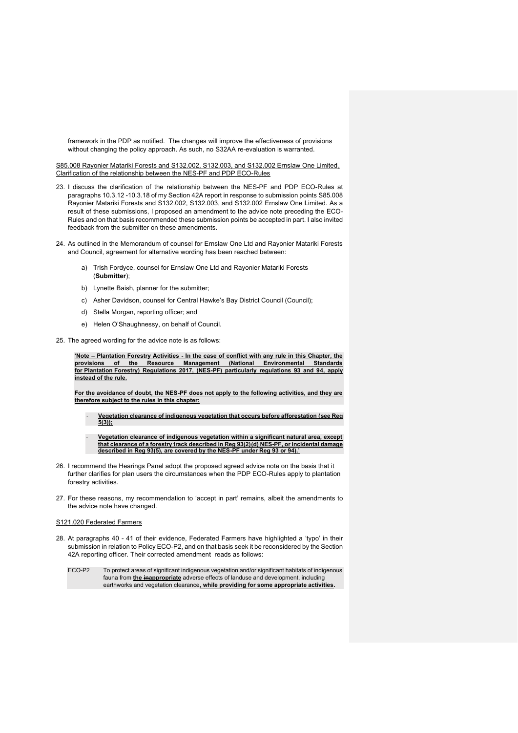framework in the PDP as notified. The changes will improve the effectiveness of provisions without changing the policy approach. As such, no S32AA re-evaluation is warranted.

S85.008 Rayonier Matariki Forests and S132.002, S132.003, and S132.002 Ernslaw One Limited, Clarification of the relationship between the NES-PF and PDP ECO-Rules

- 23. I discuss the clarification of the relationship between the NES-PF and PDP ECO-Rules at paragraphs 10.3.12 -10.3.18 of my Section 42A report in response to submission points S85.008 Rayonier Matariki Forests and S132.002, S132.003, and S132.002 Ernslaw One Limited. As a result of these submissions, I proposed an amendment to the advice note preceding the ECO-Rules and on that basis recommended these submission points be accepted in part. I also invited feedback from the submitter on these amendments.
- 24. As outlined in the Memorandum of counsel for Ernslaw One Ltd and Rayonier Matariki Forests and Council, agreement for alternative wording has been reached between:
	- a) Trish Fordyce, counsel for Ernslaw One Ltd and Rayonier Matariki Forests (**Submitter**);
	- b) Lynette Baish, planner for the submitter;
	- c) Asher Davidson, counsel for Central Hawke's Bay District Council (Council);
	- d) Stella Morgan, reporting officer; and
	- e) Helen O'Shaughnessy, on behalf of Council.
- 25. The agreed wording for the advice note is as follows:

**'Note – Plantation Forestry Activities - In the case of conflict with any rule in this Chapter, the provisions of the Resource Management (National Environmental Standards for Plantation Forestry) Regulations 2017, (NES-PF) particularly regulations 93 and 94, apply instead of the rule.** 

**For the avoidance of doubt, the NES-PF does not apply to the following activities, and they are therefore subject to the rules in this chapter:**

- **Vegetation clearance of indigenous vegetation that occurs before afforestation (see Reg**   $\frac{1}{5(3)}$ 

- **Vegetation clearance of indigenous vegetation within a significant natural area, except that clearance of a forestry track described in Reg 93(2)(d) NES-PF, or incidental damage described in Reg 93(5), are covered by the NES-PF under Reg 93 or 94).'**

- 26. I recommend the Hearings Panel adopt the proposed agreed advice note on the basis that it further clarifies for plan users the circumstances when the PDP ECO-Rules apply to plantation forestry activities.
- 27. For these reasons, my recommendation to 'accept in part' remains, albeit the amendments to the advice note have changed.

## S121.020 Federated Farmers

28. At paragraphs 40 - 41 of their evidence, Federated Farmers have highlighted a 'typo' in their submission in relation to Policy ECO-P2, and on that basis seek it be reconsidered by the Section 42A reporting officer. Their corrected amendment reads as follows:

ECO-P2 To protect areas of significant indigenous vegetation and/or significant habitats of indigenous fauna from **the inappropriate** adverse effects of landuse and development, including earthworks and vegetation clearance**, while providing for some appropriate activities.**